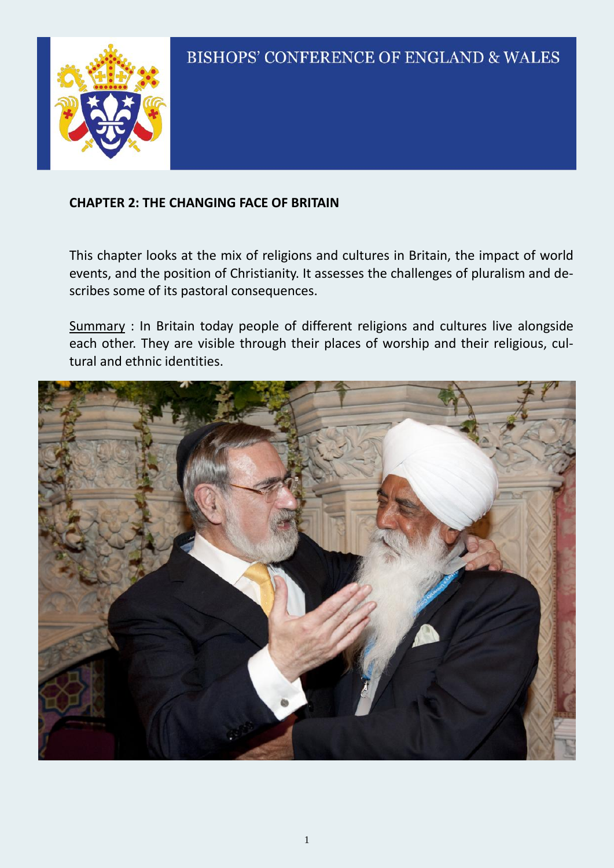

#### **CHAPTER 2: THE CHANGING FACE OF BRITAIN**

This chapter looks at the mix of religions and cultures in Britain, the impact of world events, and the position of Christianity. It assesses the challenges of pluralism and describes some of its pastoral consequences.

Summary : In Britain today people of different religions and cultures live alongside each other. They are visible through their places of worship and their religious, cultural and ethnic identities.

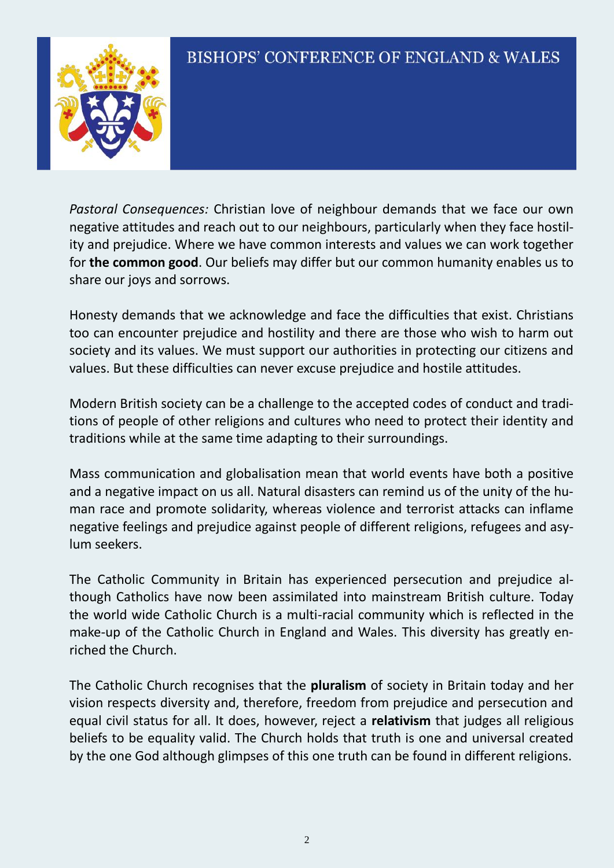

*Pastoral Consequences:* Christian love of neighbour demands that we face our own negative attitudes and reach out to our neighbours, particularly when they face hostility and prejudice. Where we have common interests and values we can work together for **the common good**. Our beliefs may differ but our common humanity enables us to share our joys and sorrows.

Honesty demands that we acknowledge and face the difficulties that exist. Christians too can encounter prejudice and hostility and there are those who wish to harm out society and its values. We must support our authorities in protecting our citizens and values. But these difficulties can never excuse prejudice and hostile attitudes.

Modern British society can be a challenge to the accepted codes of conduct and traditions of people of other religions and cultures who need to protect their identity and traditions while at the same time adapting to their surroundings.

Mass communication and globalisation mean that world events have both a positive and a negative impact on us all. Natural disasters can remind us of the unity of the human race and promote solidarity, whereas violence and terrorist attacks can inflame negative feelings and prejudice against people of different religions, refugees and asylum seekers.

The Catholic Community in Britain has experienced persecution and prejudice although Catholics have now been assimilated into mainstream British culture. Today the world wide Catholic Church is a multi-racial community which is reflected in the make-up of the Catholic Church in England and Wales. This diversity has greatly enriched the Church.

The Catholic Church recognises that the **pluralism** of society in Britain today and her vision respects diversity and, therefore, freedom from prejudice and persecution and equal civil status for all. It does, however, reject a **relativism** that judges all religious beliefs to be equality valid. The Church holds that truth is one and universal created by the one God although glimpses of this one truth can be found in different religions.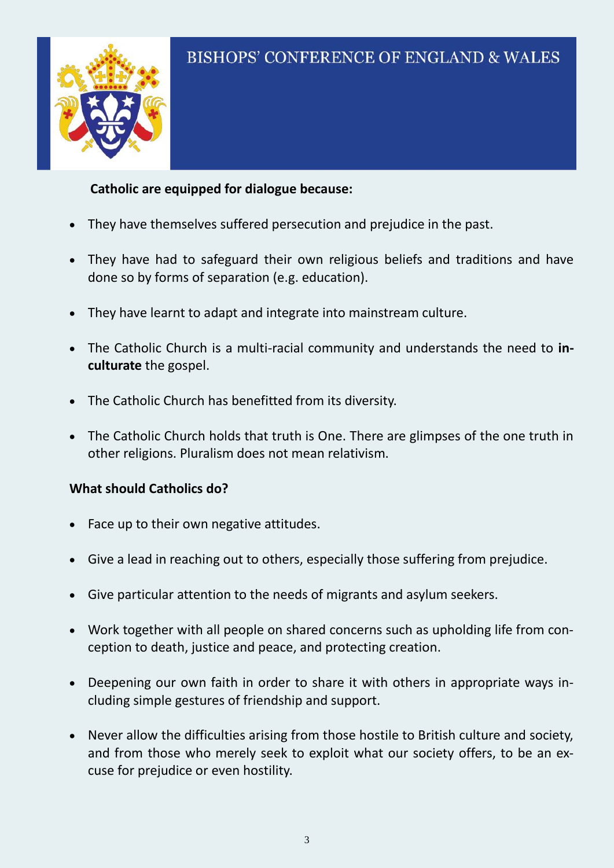## **Catholic are equipped for dialogue because:**

- They have themselves suffered persecution and prejudice in the past.
- They have had to safeguard their own religious beliefs and traditions and have done so by forms of separation (e.g. education).
- They have learnt to adapt and integrate into mainstream culture.
- The Catholic Church is a multi-racial community and understands the need to **inculturate** the gospel.
- The Catholic Church has benefitted from its diversity.
- The Catholic Church holds that truth is One. There are glimpses of the one truth in other religions. Pluralism does not mean relativism.

#### **What should Catholics do?**

- Face up to their own negative attitudes.
- Give a lead in reaching out to others, especially those suffering from prejudice.
- Give particular attention to the needs of migrants and asylum seekers.
- Work together with all people on shared concerns such as upholding life from conception to death, justice and peace, and protecting creation.
- Deepening our own faith in order to share it with others in appropriate ways including simple gestures of friendship and support.
- Never allow the difficulties arising from those hostile to British culture and society, and from those who merely seek to exploit what our society offers, to be an excuse for prejudice or even hostility.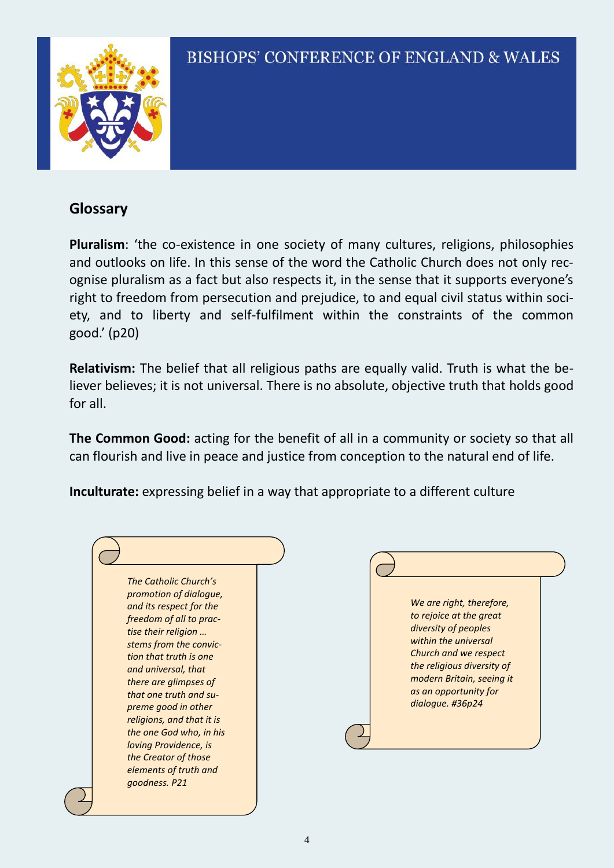

### **Glossary**

**Pluralism**: 'the co-existence in one society of many cultures, religions, philosophies and outlooks on life. In this sense of the word the Catholic Church does not only recognise pluralism as a fact but also respects it, in the sense that it supports everyone's right to freedom from persecution and prejudice, to and equal civil status within society, and to liberty and self-fulfilment within the constraints of the common good.' (p20)

**Relativism:** The belief that all religious paths are equally valid. Truth is what the believer believes; it is not universal. There is no absolute, objective truth that holds good for all.

**The Common Good:** acting for the benefit of all in a community or society so that all can flourish and live in peace and justice from conception to the natural end of life.

**Inculturate:** expressing belief in a way that appropriate to a different culture

| The Catholic Church's     |  |
|---------------------------|--|
| promotion of dialogue,    |  |
| and its respect for the   |  |
| freedom of all to prac-   |  |
| tise their religion       |  |
| stems from the convic-    |  |
| tion that truth is one    |  |
| and universal, that       |  |
| there are glimpses of     |  |
| that one truth and su-    |  |
| preme good in other       |  |
| religions, and that it is |  |
| the one God who, in his   |  |
| loving Providence, is     |  |
| the Creator of those      |  |
| elements of truth and     |  |
| goodness. P21             |  |
|                           |  |

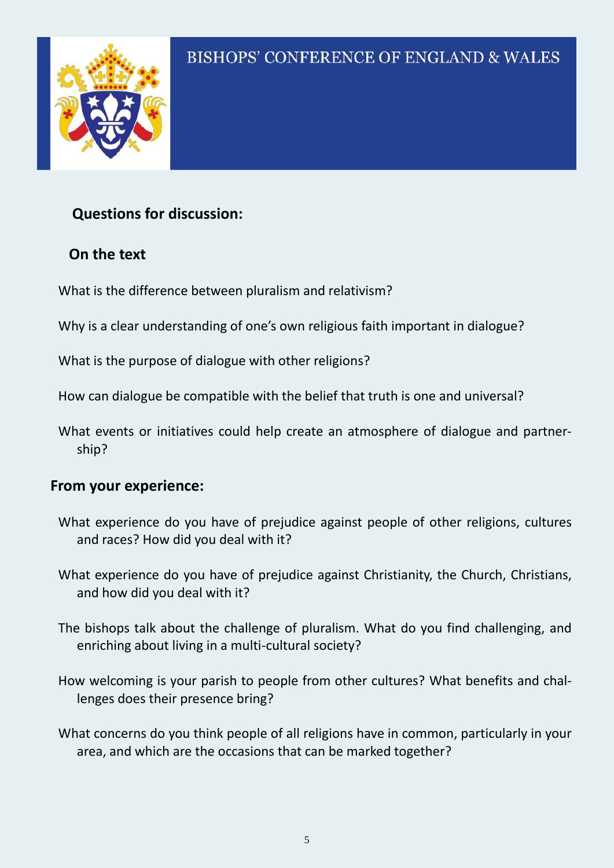

## **Questions for discussion:**

## **On the text**

What is the difference between pluralism and relativism?

Why is a clear understanding of one's own religious faith important in dialogue?

What is the purpose of dialogue with other religions?

How can dialogue be compatible with the belief that truth is one and universal?

What events or initiatives could help create an atmosphere of dialogue and partnership?

## **From your experience:**

- What experience do you have of prejudice against people of other religions, cultures and races? How did you deal with it?
- What experience do you have of prejudice against Christianity, the Church, Christians, and how did you deal with it?
- The bishops talk about the challenge of pluralism. What do you find challenging, and enriching about living in a multi-cultural society?
- How welcoming is your parish to people from other cultures? What benefits and challenges does their presence bring?

What concerns do you think people of all religions have in common, particularly in your area, and which are the occasions that can be marked together?